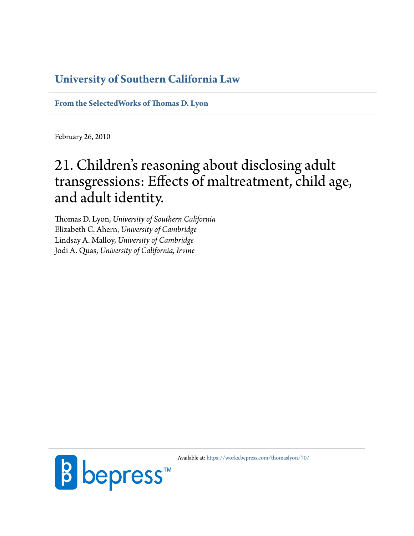## **[University of Southern California Law](http://gould.usc.edu/)**

**[From the SelectedWorks of Thomas D. Lyon](https://works.bepress.com/thomaslyon/)**

February 26, 2010

# 21. Children ' s reasoning about disclosing adult transgressions: Effects of maltreatment, child age, and adult identity.

Thomas D. Lyon, *University of Southern California* Elizabeth C. Ahern, *University of Cambridge* Lindsay A. Malloy, *University of Cambridge* Jodi A. Quas, *University of California, Irvine*



Available at: <https://works.bepress.com/thomaslyon/70/>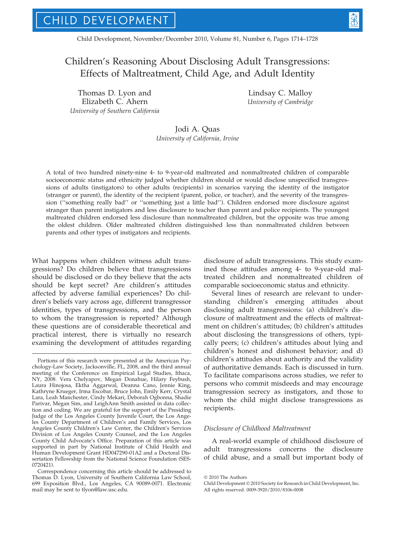Child Development, November/December 2010, Volume 81, Number 6, Pages 1714–1728

### Children's Reasoning About Disclosing Adult Transgressions: Effects of Maltreatment, Child Age, and Adult Identity

Thomas D. Lyon and Elizabeth C. Ahern University of Southern California Lindsay C. Malloy University of Cambridge

Jodi A. Quas University of California, Irvine

A total of two hundred ninety-nine 4- to 9-year-old maltreated and nonmaltreated children of comparable socioeconomic status and ethnicity judged whether children should or would disclose unspecified transgressions of adults (instigators) to other adults (recipients) in scenarios varying the identity of the instigator (stranger or parent), the identity of the recipient (parent, police, or teacher), and the severity of the transgression (''something really bad'' or ''something just a little bad''). Children endorsed more disclosure against stranger than parent instigators and less disclosure to teacher than parent and police recipients. The youngest maltreated children endorsed less disclosure than nonmaltreated children, but the opposite was true among the oldest children. Older maltreated children distinguished less than nonmaltreated children between parents and other types of instigators and recipients.

What happens when children witness adult transgressions? Do children believe that transgressions should be disclosed or do they believe that the acts should be kept secret? Are children's attitudes affected by adverse familial experiences? Do children's beliefs vary across age, different transgressor identities, types of transgressions, and the person to whom the transgression is reported? Although these questions are of considerable theoretical and practical interest, there is virtually no research examining the development of attitudes regarding disclosure of adult transgressions. This study examined those attitudes among 4- to 9-year-old maltreated children and nonmaltreated children of comparable socioeconomic status and ethnicity.

Several lines of research are relevant to understanding children's emerging attitudes about disclosing adult transgressions: (a) children's disclosure of maltreatment and the effects of maltreatment on children's attitudes; (b) children's attitudes about disclosing the transgressions of others, typically peers; (c) children's attitudes about lying and children's honest and dishonest behavior; and d) children's attitudes about authority and the validity of authoritative demands. Each is discussed in turn. To facilitate comparisons across studies, we refer to persons who commit misdeeds and may encourage transgression secrecy as instigators, and those to whom the child might disclose transgressions as recipients.

#### Disclosure of Childhood Maltreatment

A real-world example of childhood disclosure of adult transgressions concerns the disclosure of child abuse, and a small but important body of

Portions of this research were presented at the American Psychology-Law Society, Jacksonville, FL, 2008, and the third annual meeting of the Conference on Empirical Legal Studies, Ithaca, NY, 2008. Vera Chelyapov, Megan Donahue, Hilary Feybush, Laura Hinojosa, Ektha Aggarwal, Deanna Cano, Jennie King, Kathryne Krueger, Irma Escobar, Bruce John, Emily Kerr, Crystal Lara, Leah Manchester, Cindy Mekari, Deborah Ogbonna, Shadie Parivar, Megan Sim, and LeighAnn Smith assisted in data collection and coding. We are grateful for the support of the Presiding Judge of the Los Angeles County Juvenile Court, the Los Angeles County Department of Children's and Family Services, Los Angeles County Children's Law Center, the Children's Services Division of Los Angeles County Counsel, and the Los Angeles County Child Advocate's Office. Preparation of this article was supported in part by National Institute of Child Health and Human Development Grant HD047290-01A2 and a Doctoral Dissertation Fellowship from the National Science Foundation (SES-0720421).

Correspondence concerning this article should be addressed to Thomas D. Lyon, University of Southern California Law School, 699 Exposition Blvd., Los Angeles, CA 90089-0071. Electronic mail may be sent to tlyon@law.usc.edu.

<sup>© 2010</sup> The Authors

Child Development © 2010 Society for Research in Child Development, Inc. All rights reserved. 0009-3920/2010/8106-0008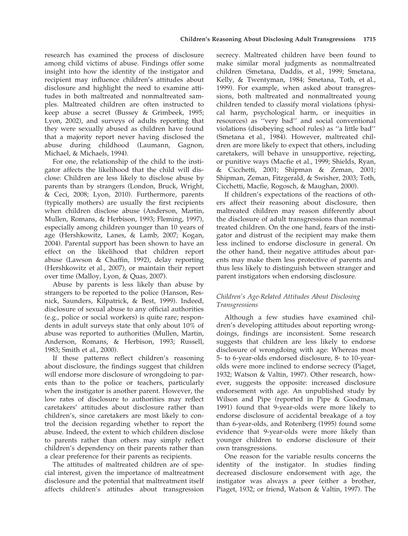research has examined the process of disclosure among child victims of abuse. Findings offer some insight into how the identity of the instigator and recipient may influence children's attitudes about disclosure and highlight the need to examine attitudes in both maltreated and nonmaltreated samples. Maltreated children are often instructed to keep abuse a secret (Bussey & Grimbeek, 1995; Lyon, 2002), and surveys of adults reporting that they were sexually abused as children have found that a majority report never having disclosed the abuse during childhood (Laumann, Gagnon, Michael, & Michaels, 1994).

For one, the relationship of the child to the instigator affects the likelihood that the child will disclose: Children are less likely to disclose abuse by parents than by strangers (London, Bruck, Wright, & Ceci, 2008; Lyon, 2010). Furthermore, parents (typically mothers) are usually the first recipients when children disclose abuse (Anderson, Martin, Mullen, Romans, & Herbison, 1993; Fleming, 1997), especially among children younger than 10 years of age (Hershkowitz, Lanes, & Lamb, 2007; Kogan, 2004). Parental support has been shown to have an effect on the likelihood that children report abuse (Lawson & Chaffin, 1992), delay reporting (Hershkowitz et al., 2007), or maintain their report over time (Malloy, Lyon, & Quas, 2007).

Abuse by parents is less likely than abuse by strangers to be reported to the police (Hanson, Resnick, Saunders, Kilpatrick, & Best, 1999). Indeed, disclosure of sexual abuse to any official authorities (e.g., police or social workers) is quite rare; respondents in adult surveys state that only about 10% of abuse was reported to authorities (Mullen, Martin, Anderson, Romans, & Herbison, 1993; Russell, 1983; Smith et al., 2000).

If these patterns reflect children's reasoning about disclosure, the findings suggest that children will endorse more disclosure of wrongdoing to parents than to the police or teachers, particularly when the instigator is another parent. However, the low rates of disclosure to authorities may reflect caretakers' attitudes about disclosure rather than children's, since caretakers are most likely to control the decision regarding whether to report the abuse. Indeed, the extent to which children disclose to parents rather than others may simply reflect children's dependency on their parents rather than a clear preference for their parents as recipients.

The attitudes of maltreated children are of special interest, given the importance of maltreatment disclosure and the potential that maltreatment itself affects children's attitudes about transgression

secrecy. Maltreated children have been found to make similar moral judgments as nonmaltreated children (Smetana, Daddis, et al., 1999; Smetana, Kelly, & Twentyman, 1984; Smetana, Toth, et al., 1999). For example, when asked about transgressions, both maltreated and nonmaltreated young children tended to classify moral violations (physical harm, psychological harm, or inequities in resources) as ''very bad'' and social conventional violations (disobeying school rules) as ''a little bad'' (Smetana et al., 1984). However, maltreated children are more likely to expect that others, including caretakers, will behave in unsupportive, rejecting, or punitive ways (Macfie et al., 1999; Shields, Ryan, & Cicchetti, 2001; Shipman & Zeman, 2001; Shipman, Zeman, Fitzgerald, & Swisher, 2003; Toth, Cicchetti, Macfie, Rogosch, & Maughan, 2000).

If children's expectations of the reactions of others affect their reasoning about disclosure, then maltreated children may reason differently about the disclosure of adult transgressions than nonmaltreated children. On the one hand, fears of the instigator and distrust of the recipient may make them less inclined to endorse disclosure in general. On the other hand, their negative attitudes about parents may make them less protective of parents and thus less likely to distinguish between stranger and parent instigators when endorsing disclosure.

#### Children's Age-Related Attitudes About Disclosing Transgressions

Although a few studies have examined children's developing attitudes about reporting wrongdoings, findings are inconsistent. Some research suggests that children are less likely to endorse disclosure of wrongdoing with age: Whereas most 5- to 6-year-olds endorsed disclosure, 8- to 10-yearolds were more inclined to endorse secrecy (Piaget, 1932; Watson & Valtin, 1997). Other research, however, suggests the opposite: increased disclosure endorsement with age. An unpublished study by Wilson and Pipe (reported in Pipe & Goodman, 1991) found that 9-year-olds were more likely to endorse disclosure of accidental breakage of a toy than 6-year-olds, and Rotenberg (1995) found some evidence that 9-year-olds were more likely than younger children to endorse disclosure of their own transgressions.

One reason for the variable results concerns the identity of the instigator. In studies finding decreased disclosure endorsement with age, the instigator was always a peer (either a brother, Piaget, 1932; or friend, Watson & Valtin, 1997). The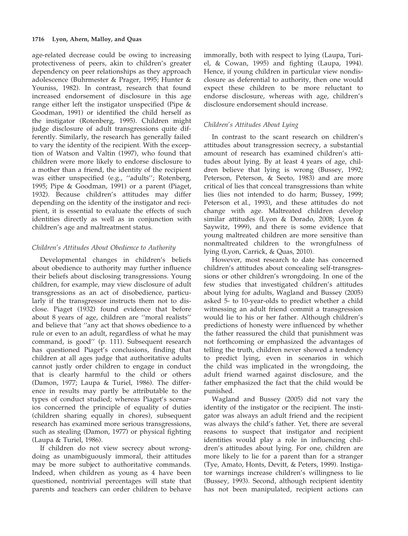age-related decrease could be owing to increasing protectiveness of peers, akin to children's greater dependency on peer relationships as they approach adolescence (Buhrmester & Prager, 1995; Hunter & Youniss, 1982). In contrast, research that found increased endorsement of disclosure in this age range either left the instigator unspecified (Pipe & Goodman, 1991) or identified the child herself as the instigator (Rotenberg, 1995). Children might judge disclosure of adult transgressions quite differently. Similarly, the research has generally failed to vary the identity of the recipient. With the exception of Watson and Valtin (1997), who found that children were more likely to endorse disclosure to a mother than a friend, the identity of the recipient was either unspecified (e.g., ''adults''; Rotenberg, 1995; Pipe & Goodman, 1991) or a parent (Piaget, 1932). Because children's attitudes may differ depending on the identity of the instigator and recipient, it is essential to evaluate the effects of such identities directly as well as in conjunction with children's age and maltreatment status.

#### Children's Attitudes About Obedience to Authority

Developmental changes in children's beliefs about obedience to authority may further influence their beliefs about disclosing transgressions. Young children, for example, may view disclosure of adult transgressions as an act of disobedience, particularly if the transgressor instructs them not to disclose. Piaget (1932) found evidence that before about 8 years of age, children are ''moral realists'' and believe that ''any act that shows obedience to a rule or even to an adult, regardless of what he may command, is good'' (p. 111). Subsequent research has questioned Piaget's conclusions, finding that children at all ages judge that authoritative adults cannot justly order children to engage in conduct that is clearly harmful to the child or others (Damon, 1977; Laupa & Turiel, 1986). The difference in results may partly be attributable to the types of conduct studied; whereas Piaget's scenarios concerned the principle of equality of duties (children sharing equally in chores), subsequent research has examined more serious transgressions, such as stealing (Damon, 1977) or physical fighting (Laupa & Turiel, 1986).

If children do not view secrecy about wrongdoing as unambiguously immoral, their attitudes may be more subject to authoritative commands. Indeed, when children as young as 4 have been questioned, nontrivial percentages will state that parents and teachers can order children to behave immorally, both with respect to lying (Laupa, Turiel, & Cowan, 1995) and fighting (Laupa, 1994). Hence, if young children in particular view nondisclosure as deferential to authority, then one would expect these children to be more reluctant to endorse disclosure, whereas with age, children's disclosure endorsement should increase.

#### Children's Attitudes About Lying

In contrast to the scant research on children's attitudes about transgression secrecy, a substantial amount of research has examined children's attitudes about lying. By at least 4 years of age, children believe that lying is wrong (Bussey, 1992; Peterson, Peterson, & Seeto, 1983) and are more critical of lies that conceal transgressions than white lies (lies not intended to do harm; Bussey, 1999; Peterson et al., 1993), and these attitudes do not change with age. Maltreated children develop similar attitudes (Lyon & Dorado, 2008; Lyon & Saywitz, 1999), and there is some evidence that young maltreated children are more sensitive than nonmaltreated children to the wrongfulness of lying (Lyon, Carrick, & Quas, 2010).

However, most research to date has concerned children's attitudes about concealing self-transgressions or other children's wrongdoing. In one of the few studies that investigated children's attitudes about lying for adults, Wagland and Bussey (2005) asked 5- to 10-year-olds to predict whether a child witnessing an adult friend commit a transgression would lie to his or her father. Although children's predictions of honesty were influenced by whether the father reassured the child that punishment was not forthcoming or emphasized the advantages of telling the truth, children never showed a tendency to predict lying, even in scenarios in which the child was implicated in the wrongdoing, the adult friend warned against disclosure, and the father emphasized the fact that the child would be punished.

Wagland and Bussey (2005) did not vary the identity of the instigator or the recipient. The instigator was always an adult friend and the recipient was always the child's father. Yet, there are several reasons to suspect that instigator and recipient identities would play a role in influencing children's attitudes about lying. For one, children are more likely to lie for a parent than for a stranger (Tye, Amato, Honts, Devitt, & Peters, 1999). Instigator warnings increase children's willingness to lie (Bussey, 1993). Second, although recipient identity has not been manipulated, recipient actions can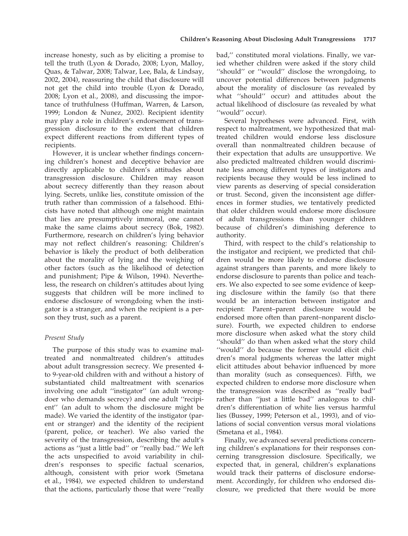increase honesty, such as by eliciting a promise to tell the truth (Lyon & Dorado, 2008; Lyon, Malloy, Quas, & Talwar, 2008; Talwar, Lee, Bala, & Lindsay, 2002, 2004), reassuring the child that disclosure will not get the child into trouble (Lyon & Dorado, 2008; Lyon et al., 2008), and discussing the importance of truthfulness (Huffman, Warren, & Larson, 1999; London & Nunez, 2002). Recipient identity may play a role in children's endorsement of transgression disclosure to the extent that children expect different reactions from different types of recipients.

However, it is unclear whether findings concerning children's honest and deceptive behavior are directly applicable to children's attitudes about transgression disclosure. Children may reason about secrecy differently than they reason about lying. Secrets, unlike lies, constitute omission of the truth rather than commission of a falsehood. Ethicists have noted that although one might maintain that lies are presumptively immoral, one cannot make the same claims about secrecy (Bok, 1982). Furthermore, research on children's lying behavior may not reflect children's reasoning: Children's behavior is likely the product of both deliberation about the morality of lying and the weighing of other factors (such as the likelihood of detection and punishment; Pipe & Wilson, 1994). Nevertheless, the research on children's attitudes about lying suggests that children will be more inclined to endorse disclosure of wrongdoing when the instigator is a stranger, and when the recipient is a person they trust, such as a parent.

#### Present Study

The purpose of this study was to examine maltreated and nonmaltreated children's attitudes about adult transgression secrecy. We presented 4 to 9-year-old children with and without a history of substantiated child maltreatment with scenarios involving one adult ''instigator'' (an adult wrongdoer who demands secrecy) and one adult ''recipient'' (an adult to whom the disclosure might be made). We varied the identity of the instigator (parent or stranger) and the identity of the recipient (parent, police, or teacher). We also varied the severity of the transgression, describing the adult's actions as ''just a little bad'' or ''really bad.'' We left the acts unspecified to avoid variability in children's responses to specific factual scenarios, although, consistent with prior work (Smetana et al., 1984), we expected children to understand that the actions, particularly those that were ''really

bad,'' constituted moral violations. Finally, we varied whether children were asked if the story child "should" or "would" disclose the wrongdoing, to uncover potential differences between judgments about the morality of disclosure (as revealed by what ''should'' occur) and attitudes about the actual likelihood of disclosure (as revealed by what ''would'' occur).

Several hypotheses were advanced. First, with respect to maltreatment, we hypothesized that maltreated children would endorse less disclosure overall than nonmaltreated children because of their expectation that adults are unsupportive. We also predicted maltreated children would discriminate less among different types of instigators and recipients because they would be less inclined to view parents as deserving of special consideration or trust. Second, given the inconsistent age differences in former studies, we tentatively predicted that older children would endorse more disclosure of adult transgressions than younger children because of children's diminishing deference to authority.

Third, with respect to the child's relationship to the instigator and recipient, we predicted that children would be more likely to endorse disclosure against strangers than parents, and more likely to endorse disclosure to parents than police and teachers. We also expected to see some evidence of keeping disclosure within the family (so that there would be an interaction between instigator and recipient: Parent–parent disclosure would be endorsed more often than parent–nonparent disclosure). Fourth, we expected children to endorse more disclosure when asked what the story child ''should'' do than when asked what the story child ''would'' do because the former would elicit children's moral judgments whereas the latter might elicit attitudes about behavior influenced by more than morality (such as consequences). Fifth, we expected children to endorse more disclosure when the transgression was described as ''really bad'' rather than ''just a little bad'' analogous to children's differentiation of white lies versus harmful lies (Bussey, 1999; Peterson et al., 1993), and of violations of social convention versus moral violations (Smetana et al., 1984).

Finally, we advanced several predictions concerning children's explanations for their responses concerning transgression disclosure. Specifically, we expected that, in general, children's explanations would track their patterns of disclosure endorsement. Accordingly, for children who endorsed disclosure, we predicted that there would be more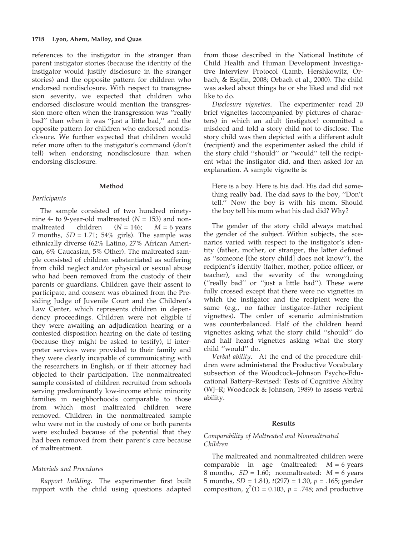references to the instigator in the stranger than parent instigator stories (because the identity of the instigator would justify disclosure in the stranger stories) and the opposite pattern for children who endorsed nondisclosure. With respect to transgression severity, we expected that children who endorsed disclosure would mention the transgression more often when the transgression was ''really bad'' than when it was ''just a little bad,'' and the opposite pattern for children who endorsed nondisclosure. We further expected that children would refer more often to the instigator's command (don't tell) when endorsing nondisclosure than when endorsing disclosure.

#### Method

#### Participants

The sample consisted of two hundred ninetynine 4- to 9-year-old maltreated  $(N = 153)$  and nonmaltreated children  $(N = 146; M = 6$  years 7 months,  $SD = 1.71$ ; 54% girls). The sample was ethnically diverse (62% Latino, 27% African American, 6% Caucasian, 5% Other). The maltreated sample consisted of children substantiated as suffering from child neglect and/or physical or sexual abuse who had been removed from the custody of their parents or guardians. Children gave their assent to participate, and consent was obtained from the Presiding Judge of Juvenile Court and the Children's Law Center, which represents children in dependency proceedings. Children were not eligible if they were awaiting an adjudication hearing or a contested disposition hearing on the date of testing (because they might be asked to testify), if interpreter services were provided to their family and they were clearly incapable of communicating with the researchers in English, or if their attorney had objected to their participation. The nonmaltreated sample consisted of children recruited from schools serving predominantly low-income ethnic minority families in neighborhoods comparable to those from which most maltreated children were removed. Children in the nonmaltreated sample who were not in the custody of one or both parents were excluded because of the potential that they had been removed from their parent's care because of maltreatment.

#### Materials and Procedures

Rapport building.. The experimenter first built rapport with the child using questions adapted

from those described in the National Institute of Child Health and Human Development Investigative Interview Protocol (Lamb, Hershkowitz, Orbach, & Esplin, 2008; Orbach et al., 2000). The child was asked about things he or she liked and did not like to do.

Disclosure vignettes. The experimenter read 20 brief vignettes (accompanied by pictures of characters) in which an adult (instigator) committed a misdeed and told a story child not to disclose. The story child was then depicted with a different adult (recipient) and the experimenter asked the child if the story child ''should'' or ''would'' tell the recipient what the instigator did, and then asked for an explanation. A sample vignette is:

Here is a boy. Here is his dad. His dad did something really bad. The dad says to the boy, ''Don't tell.'' Now the boy is with his mom. Should the boy tell his mom what his dad did? Why?

The gender of the story child always matched the gender of the subject. Within subjects, the scenarios varied with respect to the instigator's identity (father, mother, or stranger, the latter defined as ''someone [the story child] does not know''), the recipient's identity (father, mother, police officer, or teacher), and the severity of the wrongdoing (''really bad'' or ''just a little bad''). These were fully crossed except that there were no vignettes in which the instigator and the recipient were the same (e.g., no father instigator–father recipient vignettes). The order of scenario administration was counterbalanced. Half of the children heard vignettes asking what the story child ''should'' do and half heard vignettes asking what the story child ''would'' do.

Verbal ability.. At the end of the procedure children were administered the Productive Vocabulary subsection of the Woodcock–Johnson Psycho-Educational Battery–Revised: Tests of Cognitive Ability (WJ–R; Woodcock & Johnson, 1989) to assess verbal ability.

#### Results

#### Comparability of Maltreated and Nonmaltreated Children

The maltreated and nonmaltreated children were comparable in age (maltreated:  $M = 6$  years 8 months,  $SD = 1.60$ ; nonmaltreated:  $M = 6$  years 5 months,  $SD = 1.81$ ,  $t(297) = 1.30$ ,  $p = .165$ ; gender composition,  $\chi^2(1) = 0.103$ ,  $p = .748$ ; and productive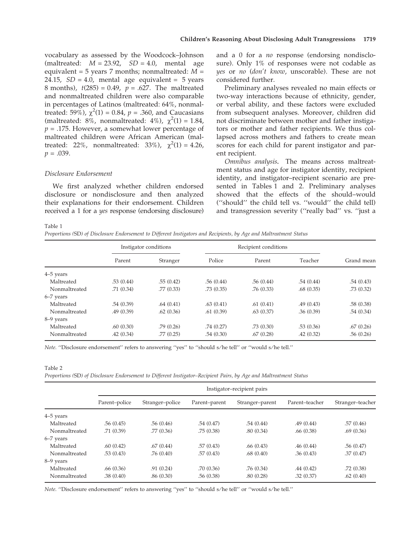vocabulary as assessed by the Woodcock–Johnson (maltreated:  $M = 23.92$ ,  $SD = 4.0$ , mental age equivalent =  $5$  years  $7$  months; nonmaltreated:  $M =$ 24.15,  $SD = 4.0$ , mental age equivalent = 5 years 8 months),  $t(285) = 0.49$ ,  $p = .627$ . The maltreated and nonmaltreated children were also comparable in percentages of Latinos (maltreated: 64%, nonmaltreated: 59%),  $\chi^2(1) = 0.84$ ,  $p = .360$ , and Caucasians (maltreated: 8%, nonmaltreated: 4%),  $\chi^2(1) = 1.84$ ,  $p = .175$ . However, a somewhat lower percentage of maltreated children were African American (maltreated: 22%, nonmaltreated: 33%),  $\chi^2(1) = 4.26$ ,  $p = .039$ .

#### Disclosure Endorsement

We first analyzed whether children endorsed disclosure or nondisclosure and then analyzed their explanations for their endorsement. Children received a 1 for a *yes* response (endorsing disclosure) and a 0 for a no response (endorsing nondisclosure). Only 1% of responses were not codable as yes or no (don't know, unscorable). These are not considered further.

Preliminary analyses revealed no main effects or two-way interactions because of ethnicity, gender, or verbal ability, and these factors were excluded from subsequent analyses. Moreover, children did not discriminate between mother and father instigators or mother and father recipients. We thus collapsed across mothers and fathers to create mean scores for each child for parent instigator and parent recipient.

Omnibus analysis.. The means across maltreatment status and age for instigator identity, recipient identity, and instigator–recipient scenario are presented in Tables 1 and 2. Preliminary analyses showed that the effects of the should–would (''should'' the child tell vs. ''would'' the child tell) and transgression severity (''really bad'' vs. ''just a

Table 1

Table 2

Proportions (SD) of Disclosure Endorsement to Different Instigators and Recipients, by Age and Maltreatment Status

|               | Instigator conditions |           | Recipient conditions |           |           |            |
|---------------|-----------------------|-----------|----------------------|-----------|-----------|------------|
|               | Parent                | Stranger  | Police               | Parent    | Teacher   | Grand mean |
| $4-5$ years   |                       |           |                      |           |           |            |
| Maltreated    | .53(0.44)             | .55(0.42) | .56(0.44)            | .56(0.44) | .54(0.44) | .54(0.43)  |
| Nonmaltreated | .71(0.34)             | .77(0.33) | .73(0.35)            | .76(0.33) | .68(0.35) | .73(0.32)  |
| 6–7 years     |                       |           |                      |           |           |            |
| Maltreated    | .54(0.39)             | .64(0.41) | .63(0.41)            | .61(0.41) | .49(0.43) | .58(0.38)  |
| Nonmaltreated | .49(0.39)             | .62(0.36) | .61(0.39)            | .63(0.37) | .36(0.39) | .54(0.34)  |
| 8–9 years     |                       |           |                      |           |           |            |
| Maltreated    | .60(0.30)             | .79(0.26) | .74(0.27)            | .73(0.30) | .53(0.36) | .67(0.26)  |
| Nonmaltreated | .42(0.34)             | .77(0.25) | .54(0.30)            | .67(0.28) | .42(0.32) | .56(0.26)  |

Note. "Disclosure endorsement" refers to answering "yes" to "should s/he tell" or "would s/he tell."

Proportions (SD) of Disclosure Endorsement to Different Instigator–Recipient Pairs, by Age and Maltreatment Status

|               | Instigator-recipient pairs |                 |               |                 |                |                  |  |  |  |
|---------------|----------------------------|-----------------|---------------|-----------------|----------------|------------------|--|--|--|
|               | Parent-police              | Stranger-police | Parent-parent | Stranger-parent | Parent-teacher | Stranger-teacher |  |  |  |
| 4–5 years     |                            |                 |               |                 |                |                  |  |  |  |
| Maltreated    | .56(0.45)                  | .56(0.46)       | .54(0.47)     | .54(0.44)       | .49(0.44)      | .57(0.46)        |  |  |  |
| Nonmaltreated | .71(0.39)                  | .77(0.36)       | .75(0.38)     | .80(0.34)       | .66(0.38)      | .69(0.36)        |  |  |  |
| 6–7 years     |                            |                 |               |                 |                |                  |  |  |  |
| Maltreated    | .60(0.42)                  | .67(0.44)       | .57(0.43)     | .66(0.43)       | .46(0.44)      | .56(0.47)        |  |  |  |
| Nonmaltreated | .53(0.43)                  | .76(0.40)       | .57(0.43)     | .68(0.40)       | .36(0.43)      | .37(0.47)        |  |  |  |
| 8–9 years     |                            |                 |               |                 |                |                  |  |  |  |
| Maltreated    | .66(0.36)                  | .91(0.24)       | .70(0.36)     | .76(0.34)       | .44(0.42)      | .72(0.38)        |  |  |  |
| Nonmaltreated | .38(0.40)                  | .86(0.30)       | .56(0.38)     | .80(0.28)       | .32(0.37)      | .62(0.40)        |  |  |  |

Note. "Disclosure endorsement" refers to answering "yes" to "should s/he tell" or "would s/he tell."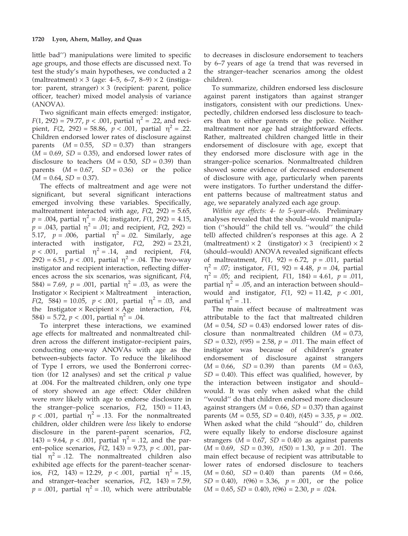little bad'') manipulations were limited to specific age groups, and those effects are discussed next. To test the study's main hypotheses, we conducted a 2 (maltreatment)  $\times$  3 (age: 4–5, 6–7, 8–9)  $\times$  2 (instigator: parent, stranger)  $\times$  3 (recipient: parent, police officer, teacher) mixed model analysis of variance (ANOVA).

Two significant main effects emerged: instigator,  $F(1, 292) = 79.77$ ,  $p < .001$ , partial  $\eta^2 = .22$ , and recipient,  $F(2, 292) = 58.86$ ,  $p < .001$ , partial  $\eta^2 = .22$ . Children endorsed lower rates of disclosure against parents  $(M = 0.55, SD = 0.37)$  than strangers  $(M = 0.69, SD = 0.35)$ , and endorsed lower rates of disclosure to teachers  $(M = 0.50, SD = 0.39)$  than parents  $(M = 0.67, SD = 0.36)$  or the police  $(M = 0.64, SD = 0.37).$ 

The effects of maltreatment and age were not significant, but several significant interactions emerged involving these variables. Specifically, maltreatment interacted with age,  $F(2, 292) = 5.65$ ,  $p = .004$ , partial  $\eta^2 = .04$ ; instigator,  $F(1, 292) = 4.15$ ,  $p = .043$ , partial  $\eta^2 = .01$ ; and recipient,  $F(2, 292) =$ 5.17,  $p = .006$ , partial  $\eta^2 = .02$ . Similarly, age interacted with instigator,  $F(2, 292) = 23.21$ ,  $p < .001$ , partial  $\eta^2 = .14$ , and recipient,  $F(4)$ , 292) = 6.51,  $p < .001$ , partial  $\eta^2 = .04$ . The two-way instigator and recipient interaction, reflecting differences across the six scenarios, was significant, F(4, 584) = 7.69,  $p = .001$ , partial  $\eta^2 = .03$ , as were the Instigator  $\times$  Recipient  $\times$  Maltreatment interaction, F(2, 584) = 10.05,  $p < .001$ , partial  $\eta^2 = .03$ , and the Instigator  $\times$  Recipient  $\times$  Age interaction,  $F(4,$ 584) = 5.72,  $p < .001$ , partial  $\eta^2 = .04$ .

To interpret these interactions, we examined age effects for maltreated and nonmaltreated children across the different instigator–recipient pairs, conducting one-way ANOVAs with age as the between-subjects factor. To reduce the likelihood of Type I errors, we used the Bonferroni correction (for 12 analyses) and set the critical  $p$  value at .004. For the maltreated children, only one type of story showed an age effect: Older children were more likely with age to endorse disclosure in the stranger–police scenarios,  $F(2, 150) = 11.43$ ,  $p < .001$ , partial  $\eta^2 = .13$ . For the nonmaltreated children, older children were less likely to endorse disclosure in the parent–parent scenarios, F(2, 143) = 9.64,  $p < .001$ , partial  $\eta^2 = .12$ , and the parent–police scenarios,  $F(2, 143) = 9.73$ ,  $p < .001$ , partial  $\eta^2$  = .12. The nonmaltreated children also exhibited age effects for the parent–teacher scenarios,  $F(2, 143) = 12.29$ ,  $p < .001$ , partial  $\eta^2 = .15$ , and stranger–teacher scenarios,  $F(2, 143) = 7.59$ ,  $p = .001$ , partial  $\eta^2 = .10$ , which were attributable

to decreases in disclosure endorsement to teachers by 6–7 years of age (a trend that was reversed in the stranger–teacher scenarios among the oldest children).

To summarize, children endorsed less disclosure against parent instigators than against stranger instigators, consistent with our predictions. Unexpectedly, children endorsed less disclosure to teachers than to either parents or the police. Neither maltreatment nor age had straightforward effects. Rather, maltreated children changed little in their endorsement of disclosure with age, except that they endorsed more disclosure with age in the stranger–police scenarios. Nonmaltreated children showed some evidence of decreased endorsement of disclosure with age, particularly when parents were instigators. To further understand the different patterns because of maltreatment status and age, we separately analyzed each age group.

Within age effects: 4- to 5-year-olds. Preliminary analyses revealed that the should–would manipulation (''should'' the child tell vs. ''would'' the child tell) affected children's responses at this age. A 2 (maltreatment)  $\times$  2 (instigator)  $\times$  3 (recipient)  $\times$  2 (should–would) ANOVA revealed significant effects of maltreatment,  $F(1, 92) = 6.72$ ,  $p = .011$ , partial  $\eta^2 = .07$ ; instigator,  $F(1, 92) = 4.48$ ,  $p = .04$ , partial  $\eta^2 = .05$ ; and recipient,  $F(1, 184) = 4.61$ ,  $p = .011$ , partial  $\eta^2$  = .05, and an interaction between should– would and instigator,  $F(1, 92) = 11.42$ ,  $p < .001$ , partial  $\eta^2 = .11$ .

The main effect because of maltreatment was attributable to the fact that maltreated children  $(M = 0.54, SD = 0.43)$  endorsed lower rates of disclosure than nonmaltreated children  $(M = 0.73)$ ,  $SD = 0.32$ ,  $t(95) = 2.58$ ,  $p = .011$ . The main effect of instigator was because of children's greater endorsement of disclosure against strangers  $(M = 0.66, SD = 0.39)$  than parents  $(M = 0.63,$  $SD = 0.40$ ). This effect was qualified, however, by the interaction between instigator and should– would. It was only when asked what the child ''would'' do that children endorsed more disclosure against strangers ( $M = 0.66$ ,  $SD = 0.37$ ) than against parents  $(M = 0.55, SD = 0.40)$ ,  $t(45) = 3.35, p = .002$ . When asked what the child ''should'' do, children were equally likely to endorse disclosure against strangers ( $M = 0.67$ ,  $SD = 0.40$ ) as against parents  $(M = 0.69, SD = 0.39), t(50) = 1.30, p = .201$ . The main effect because of recipient was attributable to lower rates of endorsed disclosure to teachers  $(M = 0.60, SD = 0.40)$  than parents  $(M = 0.66,$  $SD = 0.40$ ,  $t(96) = 3.36$ ,  $p = .001$ , or the police  $(M = 0.65, SD = 0.40), t(96) = 2.30, p = .024.$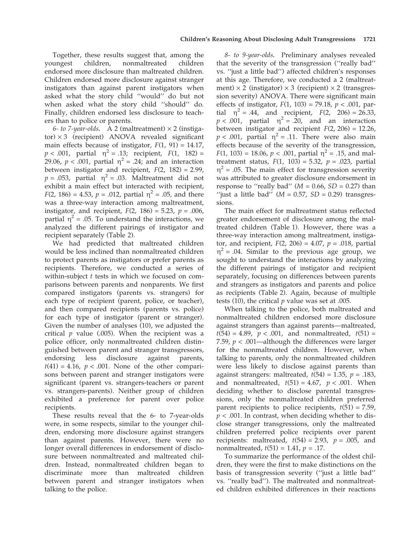Together, these results suggest that, among the youngest children, nonmaltreated children endorsed more disclosure than maltreated children. Children endorsed more disclosure against stranger instigators than against parent instigators when asked what the story child ''would'' do but not when asked what the story child ''should'' do. Finally, children endorsed less disclosure to teachers than to police or parents.

6- to 7-year-olds. A 2 (maltreatment)  $\times$  2 (instiga $tor$ )  $\times$  3 (recipient) ANOVA revealed significant main effects because of instigator,  $F(1, 91) = 14.17$ ,  $p < .001$ , partial  $\eta^2 = .13$ ; recipient,  $F(1, 182) =$ 29.06,  $p < .001$ , partial  $\eta^2 = .24$ ; and an interaction between instigator and recipient,  $F(2, 182) = 2.99$ ,  $p = .053$ , partial  $\eta^2 = .03$ . Maltreatment did not exhibit a main effect but interacted with recipient,  $F(2, 186) = 4.53$ ,  $p = .012$ , partial  $\eta^2 = .05$ , and there was a three-way interaction among maltreatment, instigator, and recipient,  $F(2, 186) = 5.23$ ,  $p = .006$ , partial  $\eta^2$  = .05. To understand the interactions, we analyzed the different pairings of instigator and recipient separately (Table 2).

We had predicted that maltreated children would be less inclined than nonmaltreated children to protect parents as instigators or prefer parents as recipients. Therefore, we conducted a series of within-subject t tests in which we focused on comparisons between parents and nonparents. We first compared instigators (parents vs. strangers) for each type of recipient (parent, police, or teacher), and then compared recipients (parents vs. police) for each type of instigator (parent or stranger). Given the number of analyses (10), we adjusted the critical  $p$  value (.005). When the recipient was a police officer, only nonmaltreated children distinguished between parent and stranger transgressors, endorsing less disclosure against parents,  $t(41) = 4.16$ ,  $p < .001$ . None of the other comparisons between parent and stranger instigators were significant (parent vs. strangers-teachers or parent vs. strangers-parents). Neither group of children exhibited a preference for parent over police recipients.

These results reveal that the 6- to 7-year-olds were, in some respects, similar to the younger children, endorsing more disclosure against strangers than against parents. However, there were no longer overall differences in endorsement of disclosure between nonmaltreated and maltreated children. Instead, nonmaltreated children began to discriminate more than maltreated children between parent and stranger instigators when talking to the police.

8- to 9-year-olds.. Preliminary analyses revealed that the severity of the transgression (''really bad'' vs. ''just a little bad'') affected children's responses at this age. Therefore, we conducted a 2 (maltreatment)  $\times$  2 (instigator)  $\times$  3 (recipient)  $\times$  2 (transgression severity) ANOVA. There were significant main effects of instigator,  $F(1, 103) = 79.18$ ,  $p < .001$ , partial  $\eta^2 = .44$ , and recipient,  $F(2, 206) = 26.33$ ,  $p < .001$ , partial  $\eta^2 = .20$ , and an interaction between instigator and recipient  $F(2, 206) = 12.26$ ,  $p < .001$ , partial  $\eta^2 = .11$ . There were also main effects because of the severity of the transgression,  $F(1, 103) = 18.06$ ,  $p < .001$ , partial  $\eta^2 = .15$ , and maltreatment status,  $F(1, 103) = 5.32$ ,  $p = .023$ , partial  $\eta^2$  = .05. The main effect for transgression severity was attributed to greater disclosure endorsement in response to "really bad" ( $M = 0.66$ ,  $SD = 0.27$ ) than "just a little bad" ( $M = 0.57$ ,  $SD = 0.29$ ) transgressions.

The main effect for maltreatment status reflected greater endorsement of disclosure among the maltreated children (Table 1). However, there was a three-way interaction among maltreatment, instigator, and recipient,  $F(2, 206) = 4.07$ ,  $p = .018$ , partial  $\eta^2$  = .04. Similar to the previous age group, we sought to understand the interactions by analyzing the different pairings of instigator and recipient separately, focusing on differences between parents and strangers as instigators and parents and police as recipients (Table 2). Again, because of multiple tests (10), the critical  $p$  value was set at .005.

When talking to the police, both maltreated and nonmaltreated children endorsed more disclosure against strangers than against parents—maltreated,  $t(54) = 4.89$ ,  $p < .001$ , and nonmaltreated,  $t(51) =$ 7.59,  $p < .001$ —although the differences were larger for the nonmaltreated children. However, when talking to parents, only the nonmaltreated children were less likely to disclose against parents than against strangers: maltreated,  $t(54) = 1.35$ ,  $p = .183$ , and nonmaltreated,  $t(51) = 4.67$ ,  $p < .001$ . When deciding whether to disclose parental transgressions, only the nonmaltreated children preferred parent recipients to police recipients,  $t(51) = 7.59$ ,  $p < .001$ . In contrast, when deciding whether to disclose stranger transgressions, only the maltreated children preferred police recipients over parent recipients: maltreated,  $t(54) = 2.93$ ,  $p = .005$ , and nonmaltreated,  $t(51) = 1.41$ ,  $p = .17$ .

To summarize the performance of the oldest children, they were the first to make distinctions on the basis of transgression severity (''just a little bad'' vs. ''really bad''). The maltreated and nonmaltreated children exhibited differences in their reactions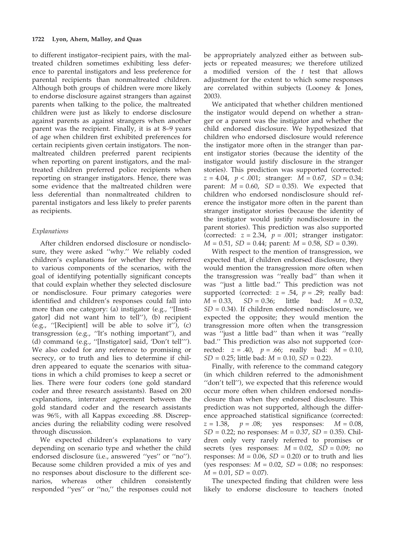to different instigator–recipient pairs, with the maltreated children sometimes exhibiting less deference to parental instigators and less preference for parental recipients than nonmaltreated children. Although both groups of children were more likely to endorse disclosure against strangers than against parents when talking to the police, the maltreated children were just as likely to endorse disclosure against parents as against strangers when another parent was the recipient. Finally, it is at 8–9 years of age when children first exhibited preferences for certain recipients given certain instigators. The nonmaltreated children preferred parent recipients when reporting on parent instigators, and the maltreated children preferred police recipients when reporting on stranger instigators. Hence, there was some evidence that the maltreated children were less deferential than nonmaltreated children to parental instigators and less likely to prefer parents as recipients.

#### Explanations

After children endorsed disclosure or nondisclosure, they were asked ''why.'' We reliably coded children's explanations for whether they referred to various components of the scenarios, with the goal of identifying potentially significant concepts that could explain whether they selected disclosure or nondisclosure. Four primary categories were identified and children's responses could fall into more than one category: (a) instigator (e.g., ''[Instigator] did not want him to tell''), (b) recipient (e.g., ''[Recipient] will be able to solve it''), (c) transgression (e.g., ''It's nothing important''), and (d) command (e.g., ''[Instigator] said, 'Don't tell'''). We also coded for any reference to promising or secrecy, or to truth and lies to determine if children appeared to equate the scenarios with situations in which a child promises to keep a secret or lies. There were four coders (one gold standard coder and three research assistants). Based on 200 explanations, interrater agreement between the gold standard coder and the research assistants was 96%, with all Kappas exceeding .88. Discrepancies during the reliability coding were resolved through discussion.

We expected children's explanations to vary depending on scenario type and whether the child endorsed disclosure (i.e., answered ''yes'' or ''no''). Because some children provided a mix of yes and no responses about disclosure to the different scenarios, whereas other children consistently responded ''yes'' or ''no,'' the responses could not be appropriately analyzed either as between subjects or repeated measures; we therefore utilized a modified version of the  $t$  test that allows adjustment for the extent to which some responses are correlated within subjects (Looney & Jones, 2003).

We anticipated that whether children mentioned the instigator would depend on whether a stranger or a parent was the instigator and whether the child endorsed disclosure. We hypothesized that children who endorsed disclosure would reference the instigator more often in the stranger than parent instigator stories (because the identity of the instigator would justify disclosure in the stranger stories). This prediction was supported (corrected:  $z = 4.04$ ,  $p < .001$ ; stranger:  $M = 0.67$ ,  $SD = 0.34$ ; parent:  $M = 0.60$ ,  $SD = 0.35$ ). We expected that children who endorsed nondisclosure should reference the instigator more often in the parent than stranger instigator stories (because the identity of the instigator would justify nondisclosure in the parent stories). This prediction was also supported (corrected:  $z = 2.34$ ,  $p = .001$ ; stranger instigator:  $M = 0.51$ ,  $SD = 0.44$ ; parent:  $M = 0.58$ ,  $SD = 0.39$ ).

With respect to the mention of transgression, we expected that, if children endorsed disclosure, they would mention the transgression more often when the transgression was ''really bad'' than when it was ''just a little bad.'' This prediction was not supported (corrected:  $z = .54$ ,  $p = .29$ ; really bad:  $M = 0.33$ ,  $SD = 0.36$ ; little bad:  $M = 0.32$ ,  $SD = 0.34$ ). If children endorsed nondisclosure, we expected the opposite; they would mention the transgression more often when the transgression was ''just a little bad'' than when it was ''really bad.'' This prediction was also not supported (corrected:  $z = .40$ ,  $p = .66$ ; really bad:  $M = 0.10$ ,  $SD = 0.25$ ; little bad:  $M = 0.10$ ,  $SD = 0.22$ ).

Finally, with reference to the command category (in which children referred to the admonishment ''don't tell''), we expected that this reference would occur more often when children endorsed nondisclosure than when they endorsed disclosure. This prediction was not supported, although the difference approached statistical significance (corrected:  $z = 1.38$ ,  $p = .08$ ; yes responses:  $M = 0.08$ ,  $SD = 0.22$ ; no responses:  $M = 0.37$ ,  $SD = 0.35$ ). Children only very rarely referred to promises or secrets (yes responses:  $M = 0.02$ ,  $SD = 0.09$ ; no responses:  $M = 0.06$ ,  $SD = 0.20$ ) or to truth and lies (yes responses:  $M = 0.02$ ,  $SD = 0.08$ ; no responses:  $M = 0.01$ ,  $SD = 0.07$ ).

The unexpected finding that children were less likely to endorse disclosure to teachers (noted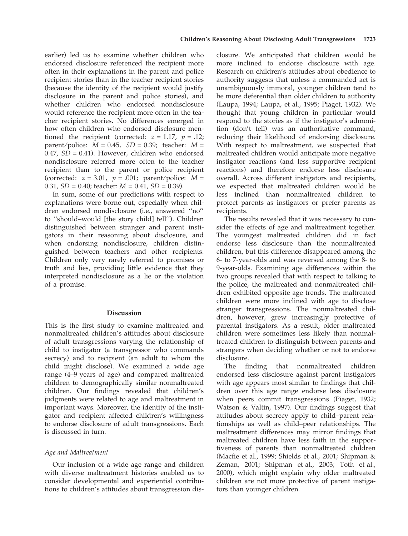earlier) led us to examine whether children who endorsed disclosure referenced the recipient more often in their explanations in the parent and police recipient stories than in the teacher recipient stories (because the identity of the recipient would justify disclosure in the parent and police stories), and whether children who endorsed nondisclosure would reference the recipient more often in the teacher recipient stories. No differences emerged in how often children who endorsed disclosure mentioned the recipient (corrected:  $z = 1.17$ ,  $p = .12$ ; parent/police:  $\overline{M} = 0.45$ ,  $SD = 0.39$ ; teacher:  $M =$  $0.47$ ,  $SD = 0.41$ ). However, children who endorsed nondisclosure referred more often to the teacher recipient than to the parent or police recipient (corrected:  $z = 3.01$ ,  $p = .001$ ; parent/police:  $M =$ 0.31,  $SD = 0.40$ ; teacher:  $M = 0.41$ ,  $SD = 0.39$ ).

In sum, some of our predictions with respect to explanations were borne out, especially when children endorsed nondisclosure (i.e., answered ''no'' to ''should–would [the story child] tell''). Children distinguished between stranger and parent instigators in their reasoning about disclosure, and when endorsing nondisclosure, children distinguished between teachers and other recipients. Children only very rarely referred to promises or truth and lies, providing little evidence that they interpreted nondisclosure as a lie or the violation of a promise.

#### Discussion

This is the first study to examine maltreated and nonmaltreated children's attitudes about disclosure of adult transgressions varying the relationship of child to instigator (a transgressor who commands secrecy) and to recipient (an adult to whom the child might disclose). We examined a wide age range (4–9 years of age) and compared maltreated children to demographically similar nonmaltreated children. Our findings revealed that children's judgments were related to age and maltreatment in important ways. Moreover, the identity of the instigator and recipient affected children's willingness to endorse disclosure of adult transgressions. Each is discussed in turn.

#### Age and Maltreatment

Our inclusion of a wide age range and children with diverse maltreatment histories enabled us to consider developmental and experiential contributions to children's attitudes about transgression disclosure. We anticipated that children would be more inclined to endorse disclosure with age. Research on children's attitudes about obedience to authority suggests that unless a commanded act is unambiguously immoral, younger children tend to be more deferential than older children to authority (Laupa, 1994; Laupa, et al., 1995; Piaget, 1932). We thought that young children in particular would respond to the stories as if the instigator's admonition (don't tell) was an authoritative command, reducing their likelihood of endorsing disclosure. With respect to maltreatment, we suspected that maltreated children would anticipate more negative instigator reactions (and less supportive recipient reactions) and therefore endorse less disclosure overall. Across different instigators and recipients, we expected that maltreated children would be less inclined than nonmaltreated children to protect parents as instigators or prefer parents as recipients.

The results revealed that it was necessary to consider the effects of age and maltreatment together. The youngest maltreated children did in fact endorse less disclosure than the nonmaltreated children, but this difference disappeared among the 6- to 7-year-olds and was reversed among the 8- to 9-year-olds. Examining age differences within the two groups revealed that with respect to talking to the police, the maltreated and nonmaltreated children exhibited opposite age trends. The maltreated children were more inclined with age to disclose stranger transgressions. The nonmaltreated children, however, grew increasingly protective of parental instigators. As a result, older maltreated children were sometimes less likely than nonmaltreated children to distinguish between parents and strangers when deciding whether or not to endorse disclosure.

The finding that nonmaltreated children endorsed less disclosure against parent instigators with age appears most similar to findings that children over this age range endorse less disclosure when peers commit transgressions (Piaget, 1932; Watson & Valtin, 1997). Our findings suggest that attitudes about secrecy apply to child–parent relationships as well as child–peer relationships. The maltreatment differences may mirror findings that maltreated children have less faith in the supportiveness of parents than nonmaltreated children (Macfie et al., 1999; Shields et al., 2001; Shipman & Zeman, 2001; Shipman et al., 2003; Toth et al., 2000), which might explain why older maltreated children are not more protective of parent instigators than younger children.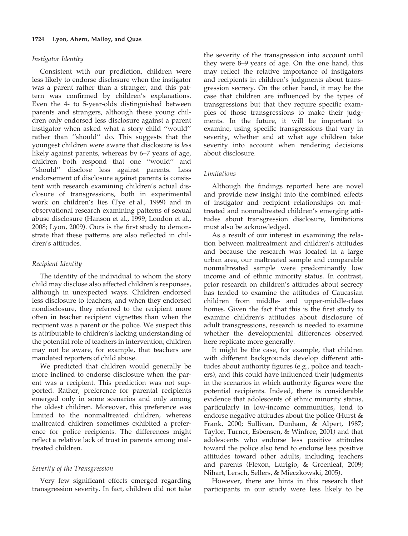#### Instigator Identity

Consistent with our prediction, children were less likely to endorse disclosure when the instigator was a parent rather than a stranger, and this pattern was confirmed by children's explanations. Even the 4- to 5-year-olds distinguished between parents and strangers, although these young children only endorsed less disclosure against a parent instigator when asked what a story child ''would'' rather than ''should'' do. This suggests that the youngest children were aware that disclosure is less likely against parents, whereas by 6–7 years of age, children both respond that one ''would'' and "should" disclose less against parents. Less endorsement of disclosure against parents is consistent with research examining children's actual disclosure of transgressions, both in experimental work on children's lies (Tye et al., 1999) and in observational research examining patterns of sexual abuse disclosure (Hanson et al., 1999; London et al., 2008; Lyon, 2009). Ours is the first study to demonstrate that these patterns are also reflected in children's attitudes.

#### Recipient Identity

The identity of the individual to whom the story child may disclose also affected children's responses, although in unexpected ways. Children endorsed less disclosure to teachers, and when they endorsed nondisclosure, they referred to the recipient more often in teacher recipient vignettes than when the recipient was a parent or the police. We suspect this is attributable to children's lacking understanding of the potential role of teachers in intervention; children may not be aware, for example, that teachers are mandated reporters of child abuse.

We predicted that children would generally be more inclined to endorse disclosure when the parent was a recipient. This prediction was not supported. Rather, preference for parental recipients emerged only in some scenarios and only among the oldest children. Moreover, this preference was limited to the nonmaltreated children, whereas maltreated children sometimes exhibited a preference for police recipients. The differences might reflect a relative lack of trust in parents among maltreated children.

#### Severity of the Transgression

Very few significant effects emerged regarding transgression severity. In fact, children did not take the severity of the transgression into account until they were 8–9 years of age. On the one hand, this may reflect the relative importance of instigators and recipients in children's judgments about transgression secrecy. On the other hand, it may be the case that children are influenced by the types of transgressions but that they require specific examples of those transgressions to make their judgments. In the future, it will be important to examine, using specific transgressions that vary in severity, whether and at what age children take severity into account when rendering decisions about disclosure.

#### Limitations

Although the findings reported here are novel and provide new insight into the combined effects of instigator and recipient relationships on maltreated and nonmaltreated children's emerging attitudes about transgression disclosure, limitations must also be acknowledged.

As a result of our interest in examining the relation between maltreatment and children's attitudes and because the research was located in a large urban area, our maltreated sample and comparable nonmaltreated sample were predominantly low income and of ethnic minority status. In contrast, prior research on children's attitudes about secrecy has tended to examine the attitudes of Caucasian children from middle- and upper-middle-class homes. Given the fact that this is the first study to examine children's attitudes about disclosure of adult transgressions, research is needed to examine whether the developmental differences observed here replicate more generally.

It might be the case, for example, that children with different backgrounds develop different attitudes about authority figures (e.g., police and teachers), and this could have influenced their judgments in the scenarios in which authority figures were the potential recipients. Indeed, there is considerable evidence that adolescents of ethnic minority status, particularly in low-income communities, tend to endorse negative attitudes about the police (Hurst & Frank, 2000; Sullivan, Dunham, & Alpert, 1987; Taylor, Turner, Esbensen, & Winfree, 2001) and that adolescents who endorse less positive attitudes toward the police also tend to endorse less positive attitudes toward other adults, including teachers and parents (Flexon, Lurigio, & Greenleaf, 2009; Nihart, Lersch, Sellers, & Mieczkowski, 2005).

However, there are hints in this research that participants in our study were less likely to be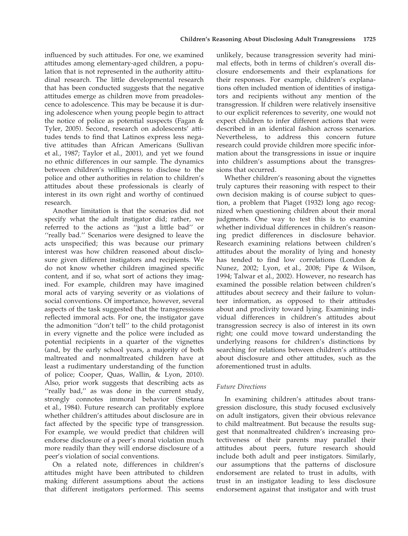influenced by such attitudes. For one, we examined attitudes among elementary-aged children, a population that is not represented in the authority attitudinal research. The little developmental research that has been conducted suggests that the negative attitudes emerge as children move from preadolescence to adolescence. This may be because it is during adolescence when young people begin to attract the notice of police as potential suspects (Fagan & Tyler, 2005). Second, research on adolescents' attitudes tends to find that Latinos express less negative attitudes than African Americans (Sullivan et al., 1987; Taylor et al., 2001), and yet we found no ethnic differences in our sample. The dynamics between children's willingness to disclose to the police and other authorities in relation to children's attitudes about these professionals is clearly of interest in its own right and worthy of continued research.

Another limitation is that the scenarios did not specify what the adult instigator did; rather, we referred to the actions as ''just a little bad'' or ''really bad.'' Scenarios were designed to leave the acts unspecified; this was because our primary interest was how children reasoned about disclosure given different instigators and recipients. We do not know whether children imagined specific content, and if so, what sort of actions they imagined. For example, children may have imagined moral acts of varying severity or as violations of social conventions. Of importance, however, several aspects of the task suggested that the transgressions reflected immoral acts. For one, the instigator gave the admonition ''don't tell'' to the child protagonist in every vignette and the police were included as potential recipients in a quarter of the vignettes (and, by the early school years, a majority of both maltreated and nonmaltreated children have at least a rudimentary understanding of the function of police; Cooper, Quas, Wallin, & Lyon, 2010). Also, prior work suggests that describing acts as "really bad," as was done in the current study, strongly connotes immoral behavior (Smetana et al., 1984). Future research can profitably explore whether children's attitudes about disclosure are in fact affected by the specific type of transgression. For example, we would predict that children will endorse disclosure of a peer's moral violation much more readily than they will endorse disclosure of a peer's violation of social conventions.

On a related note, differences in children's attitudes might have been attributed to children making different assumptions about the actions that different instigators performed. This seems unlikely, because transgression severity had minimal effects, both in terms of children's overall disclosure endorsements and their explanations for their responses. For example, children's explanations often included mention of identities of instigators and recipients without any mention of the transgression. If children were relatively insensitive to our explicit references to severity, one would not expect children to infer different actions that were described in an identical fashion across scenarios. Nevertheless, to address this concern future research could provide children more specific information about the transgressions in issue or inquire into children's assumptions about the transgressions that occurred.

Whether children's reasoning about the vignettes truly captures their reasoning with respect to their own decision making is of course subject to question, a problem that Piaget (1932) long ago recognized when questioning children about their moral judgments. One way to test this is to examine whether individual differences in children's reasoning predict differences in disclosure behavior. Research examining relations between children's attitudes about the morality of lying and honesty has tended to find low correlations (London & Nunez, 2002; Lyon, et al., 2008; Pipe & Wilson, 1994; Talwar et al., 2002). However, no research has examined the possible relation between children's attitudes about secrecy and their failure to volunteer information, as opposed to their attitudes about and proclivity toward lying. Examining individual differences in children's attitudes about transgression secrecy is also of interest in its own right; one could move toward understanding the underlying reasons for children's distinctions by searching for relations between children's attitudes about disclosure and other attitudes, such as the aforementioned trust in adults.

#### Future Directions

In examining children's attitudes about transgression disclosure, this study focused exclusively on adult instigators, given their obvious relevance to child maltreatment. But because the results suggest that nonmaltreated children's increasing protectiveness of their parents may parallel their attitudes about peers, future research should include both adult and peer instigators. Similarly, our assumptions that the patterns of disclosure endorsement are related to trust in adults, with trust in an instigator leading to less disclosure endorsement against that instigator and with trust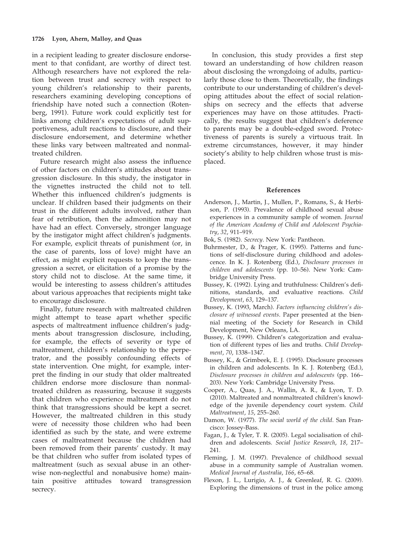in a recipient leading to greater disclosure endorsement to that confidant, are worthy of direct test. Although researchers have not explored the relation between trust and secrecy with respect to young children's relationship to their parents, researchers examining developing conceptions of friendship have noted such a connection (Rotenberg, 1991). Future work could explicitly test for links among children's expectations of adult supportiveness, adult reactions to disclosure, and their disclosure endorsement, and determine whether these links vary between maltreated and nonmaltreated children.

Future research might also assess the influence of other factors on children's attitudes about transgression disclosure. In this study, the instigator in the vignettes instructed the child not to tell. Whether this influenced children's judgments is unclear. If children based their judgments on their trust in the different adults involved, rather than fear of retribution, then the admonition may not have had an effect. Conversely, stronger language by the instigator might affect children's judgments. For example, explicit threats of punishment (or, in the case of parents, loss of love) might have an effect, as might explicit requests to keep the transgression a secret, or elicitation of a promise by the story child not to disclose. At the same time, it would be interesting to assess children's attitudes about various approaches that recipients might take to encourage disclosure.

Finally, future research with maltreated children might attempt to tease apart whether specific aspects of maltreatment influence children's judgments about transgression disclosure, including, for example, the effects of severity or type of maltreatment, children's relationship to the perpetrator, and the possibly confounding effects of state intervention. One might, for example, interpret the finding in our study that older maltreated children endorse more disclosure than nonmaltreated children as reassuring, because it suggests that children who experience maltreatment do not think that transgressions should be kept a secret. However, the maltreated children in this study were of necessity those children who had been identified as such by the state, and were extreme cases of maltreatment because the children had been removed from their parents' custody. It may be that children who suffer from isolated types of maltreatment (such as sexual abuse in an otherwise non-neglectful and nonabusive home) maintain positive attitudes toward transgression secrecy.

In conclusion, this study provides a first step toward an understanding of how children reason about disclosing the wrongdoing of adults, particularly those close to them. Theoretically, the findings contribute to our understanding of children's developing attitudes about the effect of social relationships on secrecy and the effects that adverse experiences may have on those attitudes. Practically, the results suggest that children's deference to parents may be a double-edged sword. Protectiveness of parents is surely a virtuous trait. In extreme circumstances, however, it may hinder society's ability to help children whose trust is misplaced.

#### References

- Anderson, J., Martin, J., Mullen, P., Romans, S., & Herbison, P. (1993). Prevalence of childhood sexual abuse experiences in a community sample of women. Journal of the American Academy of Child and Adolescent Psychiatry, 32, 911–919.
- Bok, S. (1982). Secrecy. New York: Pantheon.
- Buhrmester, D., & Prager, K. (1995). Patterns and functions of self-disclosure during childhood and adolescence. In K. J. Rotenberg (Ed.), Disclosure processes in children and adolescents (pp. 10–56). New York: Cambridge University Press.
- Bussey, K. (1992). Lying and truthfulness: Children's definitions, standards, and evaluative reactions. Child Development, 63, 129–137.
- Bussey, K. (1993, March). Factors influencing children's disclosure of witnessed events. Paper presented at the biennial meeting of the Society for Research in Child Development, New Orleans, LA.
- Bussey, K. (1999). Children's categorization and evaluation of different types of lies and truths. Child Development, 70, 1338–1347.
- Bussey, K., & Grimbeek, E. J. (1995). Disclosure processes in children and adolescents. In K. J. Rotenberg (Ed.), Disclosure processes in children and adolescents (pp. 166– 203). New York: Cambridge University Press.
- Cooper, A., Quas, J. A., Wallin, A. R., & Lyon, T. D. (2010). Maltreated and nonmaltreated children's knowledge of the juvenile dependency court system. Child Maltreatment, 15, 255–260.
- Damon, W. (1977). The social world of the child. San Francisco: Jossey-Bass.
- Fagan, J., & Tyler, T. R. (2005). Legal socialisation of children and adolescents. Social Justice Research, 18, 217– 241.
- Fleming, J. M. (1997). Prevalence of childhood sexual abuse in a community sample of Australian women. Medical Journal of Australia, 166, 65–68.
- Flexon, J. L., Lurigio, A. J., & Greenleaf, R. G. (2009). Exploring the dimensions of trust in the police among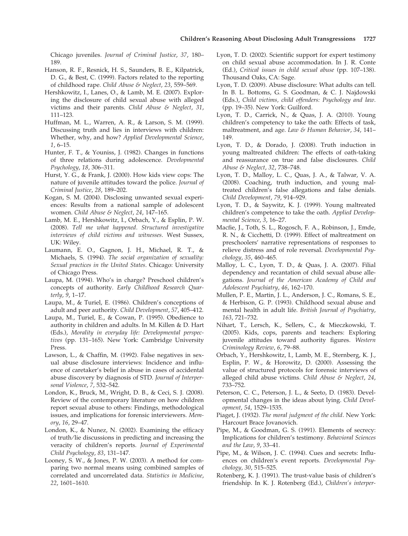#### Children's Reasoning About Disclosing Adult Transgressions 1727

Chicago juveniles. Journal of Criminal Justice, 37, 180– 189.

- Hanson, R. F., Resnick, H. S., Saunders, B. E., Kilpatrick, D. G., & Best, C. (1999). Factors related to the reporting of childhood rape. Child Abuse & Neglect, 23, 559–569.
- Hershkowitz, I., Lanes, O., & Lamb, M. E. (2007). Exploring the disclosure of child sexual abuse with alleged victims and their parents. Child Abuse & Neglect, 31, 111–123.
- Huffman, M. L., Warren, A. R., & Larson, S. M. (1999). Discussing truth and lies in interviews with children: Whether, why, and how? Applied Developmental Science, 1, 6–15.
- Hunter, F. T., & Youniss, J. (1982). Changes in functions of three relations during adolescence. Developmental Psychology, 18, 306–311.
- Hurst, Y. G., & Frank, J. (2000). How kids view cops: The nature of juvenile attitudes toward the police. Journal of Criminal Justice, 28, 189–202.
- Kogan, S. M. (2004). Disclosing unwanted sexual experiences: Results from a national sample of adolescent women. Child Abuse & Neglect, 24, 147–165.
- Lamb, M. E., Hershkowitz, I., Orbach, Y., & Esplin, P. W. (2008). Tell me what happened. Structured investigative interviews of child victims and witnesses. West Sussex, UK: Wiley.
- Laumann, E. O., Gagnon, J. H., Michael, R. T., & Michaels, S. (1994). The social organization of sexuality: Sexual practices in the United States. Chicago: University of Chicago Press.
- Laupa, M. (1994). Who's in charge? Preschool children's concepts of authority. Early Childhood Research Quarterly, 9, 1–17.
- Laupa, M., & Turiel, E. (1986). Children's conceptions of adult and peer authority. Child Development, 57, 405–412.
- Laupa, M., Turiel, E., & Cowan, P. (1995). Obedience to authority in children and adults. In M. Killen & D. Hart (Eds.), Morality in everyday life: Developmental perspectives (pp. 131–165). New York: Cambridge University Press.
- Lawson, L., & Chaffin, M. (1992). False negatives in sexual abuse disclosure interviews: Incidence and influence of caretaker's belief in abuse in cases of accidental abuse discovery by diagnosis of STD. Journal of Interpersonal Violence, 7, 532–542.
- London, K., Bruck, M., Wright, D. B., & Ceci, S. J. (2008). Review of the contemporary literature on how children report sexual abuse to others: Findings, methodological issues, and implications for forensic interviewers. Memory, 16, 29–47.
- London, K., & Nunez, N. (2002). Examining the efficacy of truth/lie discussions in predicting and increasing the veracity of children's reports. Journal of Experimental Child Psychology, 83, 131–147.
- Looney, S. W., & Jones, P. W. (2003). A method for comparing two normal means using combined samples of correlated and uncorrelated data. Statistics in Medicine, 22, 1601–1610.
- Lyon, T. D. (2002). Scientific support for expert testimony on child sexual abuse accommodation. In J. R. Conte (Ed.), Critical issues in child sexual abuse (pp. 107–138). Thousand Oaks, CA: Sage.
- Lyon, T. D. (2009). Abuse disclosure: What adults can tell. In B. L. Bottoms, G. S. Goodman, & C. J. Najdowski (Eds.), Child victims, child offenders: Psychology and law. (pp. 19–35). New York: Guilford.
- Lyon, T. D., Carrick, N., & Quas, J. A. (2010). Young children's competency to take the oath: Effects of task, maltreatment, and age. Law & Human Behavior, 34, 141-149.
- Lyon, T. D., & Dorado, J. (2008). Truth induction in young maltreated children: The effects of oath-taking and reassurance on true and false disclosures. Child Abuse & Neglect, 32, 738–748.
- Lyon, T. D., Malloy, L. C., Quas, J. A., & Talwar, V. A. (2008). Coaching, truth induction, and young maltreated children's false allegations and false denials. Child Development, 79, 914–929.
- Lyon, T. D., & Saywitz, K. J. (1999). Young maltreated children's competence to take the oath. Applied Developmental Science, 3, 16–27.
- Macfie, J., Toth, S. L., Rogosch, F. A., Robinson, J., Emde, R. N., & Cicchetti, D. (1999). Effect of maltreatment on preschoolers' narrative representations of responses to relieve distress and of role reversal. Developmental Psychology, 35, 460–465.
- Malloy, L. C., Lyon, T. D., & Quas, J. A. (2007). Filial dependency and recantation of child sexual abuse allegations. Journal of the American Academy of Child and Adolescent Psychiatry, 46, 162–170.
- Mullen, P. E., Martin, J. L., Anderson, J. C., Romans, S. E., & Herbison, G. P. (1993). Childhood sexual abuse and mental health in adult life. British Journal of Psychiatry, 163, 721–732.
- Nihart, T., Lersch, K., Sellers, C., & Mieczkowski, T. (2005). Kids, cops, parents and teachers: Exploring juvenile attitudes toward authority figures. Western Criminology Review, 6, 79–88.
- Orbach, Y., Hershkowitz, I., Lamb, M. E., Sternberg, K. J., Esplin, P. W., & Horowitz, D. (2000). Assessing the value of structured protocols for forensic interviews of alleged child abuse victims. Child Abuse & Neglect, 24, 733–752.
- Peterson, C. C., Peterson, J. L., & Seeto, D. (1983). Developmental changes in the ideas about lying. Child Development, 54, 1529–1535.
- Piaget, J. (1932). The moral judgment of the child. New York: Harcourt Brace Jovanovich.
- Pipe, M., & Goodman, G. S. (1991). Elements of secrecy: Implications for children's testimony. Behavioral Sciences and the Law, 9, 33–41.
- Pipe, M., & Wilson, J. C. (1994). Cues and secrets: Influences on children's event reports. Developmental Psychology, 30, 515–525.
- Rotenberg, K. J. (1991). The trust-value basis of children's friendship. In K. J. Rotenberg (Ed.), Children's interper-